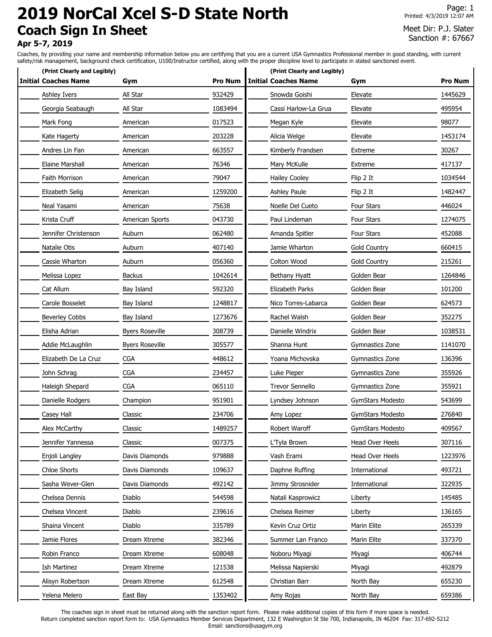# **2019 NorCal Xcel S-D State North Coach Sign In Sheet**

Page: 1 Printed: 4/3/2019 12:07 AM

## Meet Dir: P.J. Slater Sanction #: 67667

## **Apr 5-7, 2019**

Coaches, by providing your name and membership information below you are certifying that you are a current USA Gymnastics Professional member in good standing, with current safety/risk management, background check certification, U100/Instructor certified, along with the proper discipline level to participate in stated sanctioned event.

| (Print Clearly and Legibly) |                        |                | (Print Clearly and Legibly) |                         |                |
|-----------------------------|------------------------|----------------|-----------------------------|-------------------------|----------------|
| <b>Initial Coaches Name</b> | Gym                    | <b>Pro Num</b> | <b>Initial Coaches Name</b> | Gym                     | <b>Pro Num</b> |
| Ashley Ivers                | All Star               | 932429         | Snowda Goishi               | Elevate                 | 1445629        |
| Georgia Seabaugh            | All Star               | 1083494        | Cassi Harlow-La Grua        | Elevate                 | 495954         |
| Mark Fong                   | American               | 017523         | Megan Kyle                  | Elevate                 | 98077          |
| Kate Hagerty                | American               | 203228         | Alicia Welge                | Elevate                 | 1453174        |
| Andres Lin Fan              | American               | 663557         | Kimberly Frandsen           | Extreme                 | 30267          |
| Elaine Marshall             | American               | 76346          | Mary McKulle                | <b>Extreme</b>          | 417137         |
| <b>Faith Morrison</b>       | American               | 79047          | <b>Hailey Cooley</b>        | Flip 2 It               | 1034544        |
| Elizabeth Selig             | American               | 1259200        | <b>Ashley Paule</b>         | Flip 2 It               | 1482447        |
| Neal Yasami                 | American               | 75638          | Noelle Del Cueto            | <b>Four Stars</b>       | 446024         |
| Krista Cruff                | American Sports        | 043730         | Paul Lindeman               | <b>Four Stars</b>       | 1274075        |
| Jennifer Christenson        | Auburn                 | 062480         | Amanda Spitler              | Four Stars              | 452088         |
| Natalie Otis                | Auburn                 | 407140         | Jamie Wharton               | <b>Gold Country</b>     | 660415         |
| Cassie Wharton              | Auburn                 | 056360         | Colton Wood                 | <b>Gold Country</b>     | 215261         |
| Melissa Lopez               | <b>Backus</b>          | 1042614        | Bethany Hyatt               | Golden Bear             | 1264846        |
| Cat Allum                   | Bay Island             | 592320         | Elizabeth Parks             | Golden Bear             | 101200         |
| Carole Bosselet             | Bay Island             | 1248817        | Nico Torres-Labarca         | Golden Bear             | 624573         |
| <b>Beverley Cobbs</b>       | Bay Island             | 1273676        | Rachel Walsh                | Golden Bear             | 352275         |
| Elisha Adrian               | <b>Byers Roseville</b> | 308739         | Danielle Windrix            | Golden Bear             | 1038531        |
| Addie McLaughlin            | <b>Byers Roseville</b> | 305577         | Shanna Hunt                 | Gymnastics Zone         | 1141070        |
| Elizabeth De La Cruz        | <b>CGA</b>             | 448612         | Yoana Michovska             | Gymnastics Zone         | 136396         |
| John Schrag                 | <b>CGA</b>             | 234457         | Luke Pieper                 | Gymnastics Zone         | 355926         |
| Haleigh Shepard             | <b>CGA</b>             | 065110         | <b>Trevor Sennello</b>      | Gymnastics Zone         | 355921         |
| Danielle Rodgers            | Champion               | 951901         | Lyndsey Johnson             | <b>GymStars Modesto</b> | 543699         |
| Casey Hall                  | Classic                | 234706         | Amy Lopez                   | GymStars Modesto        | 276840         |
| Alex McCarthy               | Classic                | 1489257        | Robert Waroff               | GymStars Modesto        | 409567         |
| Jennifer Yannessa           | Classic                | 007375         | L'Tyla Brown                | Head Over Heels         | 307116         |
| Enjoli Langley              | Davis Diamonds         | 979888         | Vash Erami                  | Head Over Heels         | 1223976        |
| <b>Chloe Shorts</b>         | Davis Diamonds         | 109637         | Daphne Ruffing              | International           | 493721         |
| Sasha Wever-Glen            | Davis Diamonds         | 492142         | Jimmy Strosnider            | International           | 322935         |
| Chelsea Dennis              | Diablo                 | 544598         | Natali Kasprowicz           | Liberty                 | 145485         |
| Chelsea Vincent             | Diablo                 | 239616         | Chelsea Reimer              | Liberty                 | 136165         |
| Shaina Vincent              | Diablo                 | 335789         | Kevin Cruz Ortiz            | Marin Elite             | 265339         |
| Jamie Flores                | Dream Xtreme           | 382346         | Summer Lan Franco           | Marin Elite             | 337370         |
| Robin Franco                | Dream Xtreme           | 608048         | Noboru Miyagi               | Miyagi                  | 406744         |
| Ish Martinez                | Dream Xtreme           | 121538         | Melissa Napierski           | Miyagi                  | 492879         |
| Alisyn Robertson            | Dream Xtreme           | 612548         | Christian Barr              | North Bay               | 655230         |
| Yelena Melero               | East Bay               | 1353402        | Amy Rojas                   | North Bay               | 659386         |

The coaches sign in sheet must be returned along with the sanction report form. Please make additional copies of this form if more space is needed. Return completed sanction report form to: USA Gymnastics Member Services Department, 132 E Washington St Ste 700, Indianapolis, IN 46204 Fax: 317-692-5212 Email: sanctions@usagym.org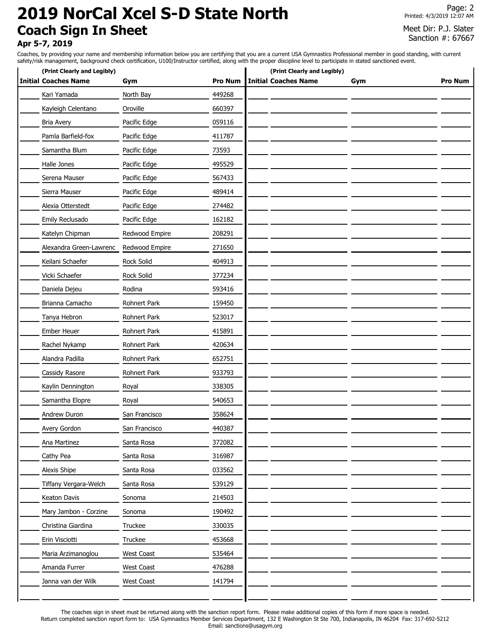# **2019 NorCal Xcel S-D State North Coach Sign In Sheet**

Page: 2 Printed: 4/3/2019 12:07 AM

### Meet Dir: P.J. Slater Sanction #: 67667

## **Apr 5-7, 2019**

Coaches, by providing your name and membership information below you are certifying that you are a current USA Gymnastics Professional member in good standing, with current safety/risk management, background check certification, U100/Instructor certified, along with the proper discipline level to participate in stated sanctioned event.

| (Print Clearly and Legibly) |                |                | (Print Clearly and Legibly) |     |                |
|-----------------------------|----------------|----------------|-----------------------------|-----|----------------|
| <b>Initial Coaches Name</b> | Gym            | <b>Pro Num</b> | <b>Initial Coaches Name</b> | Gym | <b>Pro Num</b> |
| Kari Yamada                 | North Bay      | 449268         |                             |     |                |
| Kayleigh Celentano          | Oroville       | 660397         |                             |     |                |
| <b>Bria Avery</b>           | Pacific Edge   | 059116         |                             |     |                |
| Pamla Barfield-fox          | Pacific Edge   | 411787         |                             |     |                |
| Samantha Blum               | Pacific Edge   | 73593          |                             |     |                |
| Halle Jones                 | Pacific Edge   | 495529         |                             |     |                |
| Serena Mauser               | Pacific Edge   | 567433         |                             |     |                |
| Sierra Mauser               | Pacific Edge   | 489414         |                             |     |                |
| Alexia Otterstedt           | Pacific Edge   | 274482         |                             |     |                |
| Emily Reclusado             | Pacific Edge   | 162182         |                             |     |                |
| Katelyn Chipman             | Redwood Empire | 208291         |                             |     |                |
| Alexandra Green-Lawrenc     | Redwood Empire | 271650         |                             |     |                |
| Keilani Schaefer            | Rock Solid     | 404913         |                             |     |                |
| Vicki Schaefer              | Rock Solid     | 377234         |                             |     |                |
| Daniela Dejeu               | Rodina         | 593416         |                             |     |                |
| Brianna Camacho             | Rohnert Park   | 159450         |                             |     |                |
| Tanya Hebron                | Rohnert Park   | 523017         |                             |     |                |
| Ember Heuer                 | Rohnert Park   | 415891         |                             |     |                |
| Rachel Nykamp               | Rohnert Park   | 420634         |                             |     |                |
| Alandra Padilla             | Rohnert Park   | 652751         |                             |     |                |
| Cassidy Rasore              | Rohnert Park   | 933793         |                             |     |                |
| Kaylin Dennington           | Royal          | 338305         |                             |     |                |
| Samantha Elopre             | Royal          | 540653         |                             |     |                |
| Andrew Duron                | San Francisco  | 358624         |                             |     |                |
| Avery Gordon                | San Francisco  | 440387         |                             |     |                |
| Ana Martinez                | Santa Rosa     | 372082         |                             |     |                |
| Cathy Pea                   | Santa Rosa     | 316987         |                             |     |                |
| Alexis Shipe                | Santa Rosa     | 033562         |                             |     |                |
| Tiffany Vergara-Welch       | Santa Rosa     | 539129         |                             |     |                |
| Keaton Davis                | Sonoma         | 214503         |                             |     |                |
| Mary Jambon - Corzine       | Sonoma         | 190492         |                             |     |                |
| Christina Giardina          | Truckee        | 330035         |                             |     |                |
| Erin Visciotti              | Truckee        | 453668         |                             |     |                |
| Maria Arzimanoglou          | West Coast     | 535464         |                             |     |                |
| Amanda Furrer               | West Coast     | 476288         |                             |     |                |
| Janna van der Wilk          | West Coast     | 141794         |                             |     |                |
|                             |                |                |                             |     |                |

The coaches sign in sheet must be returned along with the sanction report form. Please make additional copies of this form if more space is needed. Return completed sanction report form to: USA Gymnastics Member Services Department, 132 E Washington St Ste 700, Indianapolis, IN 46204 Fax: 317-692-5212 Email: sanctions@usagym.org